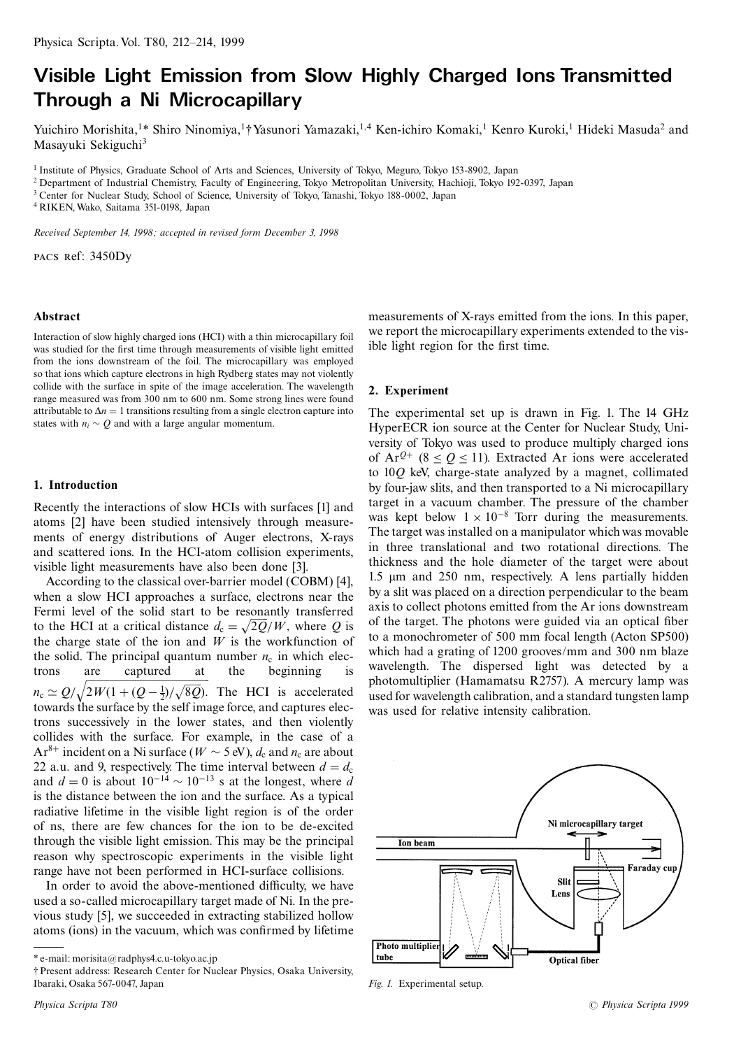# Visible Light Emission from Slow Highly Charged Ions Transmitted Through a Ni Microcapillary

Yuichiro Morishita,<sup>1\*</sup> Shiro Ninomiya,<sup>1</sup>† Yasunori Yamazaki,<sup>1,4</sup> Ken-ichiro Komaki,<sup>1</sup> Kenro Kuroki,<sup>1</sup> Hideki Masuda<sup>2</sup> and Masayuki Sekiguchi<sup>3</sup>

<sup>1</sup> Institute of Physics, Graduate School of Arts and Sciences, University of Tokyo, Meguro, Tokyo 153-8902, Japan

<sup>2</sup> Department of Industrial Chemistry, Faculty of Engineering, Tokyo Metropolitan University, Hachioji, Tokyo 192-0397, Japan

<sup>3</sup> Center for Nuclear Study, School of Science, University of Tokyo, Tanashi, Tokyo 188-0002, Japan

<sup>4</sup> RIKEN, Wako, Saitama 351-0198, Japan

Received September 14, 1998; accepted in revised form December 3, 1998

PACS Ref: 3450Dy

#### Abstract

Interaction of slow highly charged ions (HCI) with a thin microcapillary foil was studied for the first time through measurements of visible light emitted from the ions downstream of the foil. The microcapillary was employed so that ions which capture electrons in high Rydberg states may not violently collide with the surface in spite of the image acceleration. The wavelength range measured was from 300 nm to 600 nm. Some strong lines were found attributable to  $\Delta n = 1$  transitions resulting from a single electron capture into states with  $n_i \sim Q$  and with a large angular momentum.

## 1. Introduction

Recently the interactions of slow HCIs with surfaces [1] and atoms [2] have been studied intensively through measurements of energy distributions of Auger electrons, X-rays and scattered ions. In the HCI-atom collision experiments, visible light measurements have also been done [3].

According to the classical over-barrier model (COBM) [4], when a slow HCI approaches a surface, electrons near the Fermi level of the solid start to be resonantly transferred to the HCI at a critical distance  $d_c = \sqrt{2Q/W}$ , where Q is the charge state of the ion and  $W$  is the workfunction of the solid. The principal quantum number  $n_c$  in which electrons are captured at the beginning  $n_c \simeq Q/\sqrt{2W(1+(Q-\frac{1}{2})/\sqrt{8Q}})$ . The HCI is accelerated towards the surface by the self image force, and captures electrons successively in the lower states, and then violently collides with the surface. For example, in the case of a  $Ar^{8+}$  incident on a Ni surface ( $W \sim 5$  eV),  $d_c$  and  $n_c$  are about 22 a.u. and 9, respectively. The time interval between  $d = d_c$ and  $d = 0$  is about  $10^{-14} \sim 10^{-13}$  s at the longest, where d is the distance between the ion and the surface. As a typical radiative lifetime in the visible light region is of the order of ns, there are few chances for the ion to be de-excited through the visible light emission. This may be the principal reason why spectroscopic experiments in the visible light range have not been performed in HCI-surface collisions.

In order to avoid the above-mentioned difficulty, we have used a so-called microcapillary target made of Ni. In the previous study [5], we succeeded in extracting stabilized hollow atoms (ions) in the vacuum, which was confirmed by lifetime measurements of X-rays emitted from the ions. In this paper, we report the microcapillary experiments extended to the visible light region for the first time.

### 2. Experiment

The experimental set up is drawn in Fig. 1. The 14 GHz HyperECR ion source at the Center for Nuclear Study, University of Tokyo was used to produce multiply charged ions of  $Ar^{Q+}(8 < 0 < 11)$ . Extracted Ar ions were accelerated to 100 keV, charge-state analyzed by a magnet, collimated by four-jaw slits, and then transported to a Ni microcapillary target in a vacuum chamber. The pressure of the chamber was kept below  $1 \times 10^{-8}$  Torr during the measurements. The target was installed on a manipulator which was movable in three translational and two rotational directions. The thickness and the hole diameter of the target were about 1.5 µm and 250 nm, respectively. A lens partially hidden by a slit was placed on a direction perpendicular to the beam axis to collect photons emitted from the Ar ions downstream of the target. The photons were guided via an optical fiber to a monochrometer of 500 mm focal length (Acton SP500) which had a grating of 1200 grooves/mm and 300 nm blaze wavelength. The dispersed light was detected by a photomultiplier (Hamamatsu R2757). A mercury lamp was used for wavelength calibration, and a standard tungsten lamp was used for relative intensity calibration.



Fig. 1. Experimental setup.

<sup>\*</sup> e-mail: morisita@radphys4.c.u-tokyo.ac.jp

*<sup>†</sup> Present address: Research Center for Nuclear Physics, Osaka University,* Ibaraki, Osaka 567-0047, Japan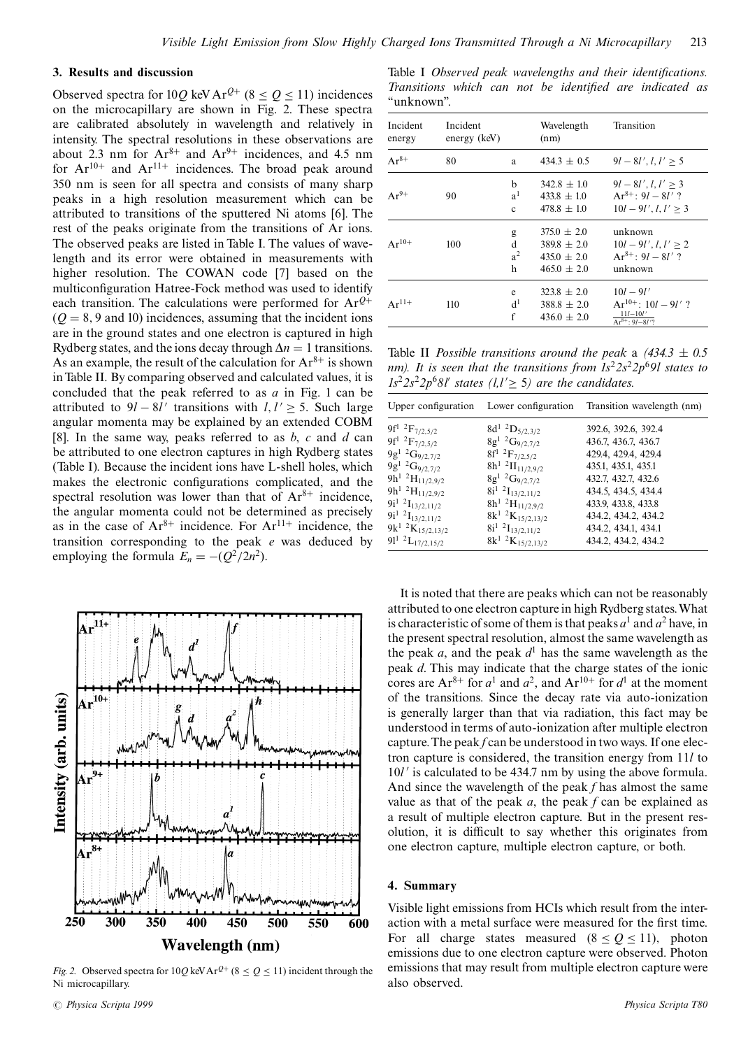### 3. Results and discussion

Observed spectra for 10Q keV Ar<sup>Q+</sup> (8  $\le$  Q  $\le$  11) incidences on the microcapillary are shown in Fig. 2. These spectra are calibrated absolutely in wavelength and relatively in intensity. The spectral resolutions in these observations are about 2.3 nm for  $Ar^{8+}$  and  $Ar^{9+}$  incidences, and 4.5 nm<br>for  $Ar^{10+}$  and  $Ar^{11+}$  incidences. The broad peak around 350 nm is seen for all spectra and consists of many sharp peaks in a high resolution measurement which can be attributed to transitions of the sputtered Ni atoms [6]. The rest of the peaks originate from the transitions of Ar ions. The observed peaks are listed in Table I. The values of wavelength and its error were obtained in measurements with higher resolution. The COWAN code [7] based on the multiconfiguration Hatree-Fock method was used to identify each transition. The calculations were performed for  $Ar^{Q+}$  $(Q = 8, 9$  and 10) incidences, assuming that the incident ions are in the ground states and one electron is captured in high Rydberg states, and the ions decay through  $\Delta n = 1$  transitions. As an example, the result of the calculation for  $Ar^{8+}$  is shown in Table II. By comparing observed and calculated values, it is concluded that the peak referred to as  $a$  in Fig. 1 can be attributed to  $9l - 8l'$  transitions with  $l, l' \geq 5$ . Such large angular momenta may be explained by an extended COBM [8]. In the same way, peaks referred to as  $b$ ,  $c$  and  $d$  can be attributed to one electron captures in high Rydberg states (Table I). Because the incident ions have L-shell holes, which makes the electronic configurations complicated, and the spectral resolution was lower than that of  $Ar^{8+}$  incidence, the angular momenta could not be determined as precisely as in the case of  $Ar^{8+}$  incidence. For  $Ar^{11+}$  incidence, the transition corresponding to the peak  $e$  was deduced by employing the formula  $E_n = -(Q^2/2n^2)$ .



Fig. 2. Observed spectra for  $10Q \text{ keV Ar}^{Q+}$  (8  $\le Q \le 11$ ) incident through the Ni microcapillary.

Table I Observed peak wavelengths and their identifications. Transitions which can not be identified are indicated as "unknown".

| Incident<br>energy | Incident<br>energy $(keV)$ |                               | Wavelength<br>(nm)                                                       | Transition                                                                             |
|--------------------|----------------------------|-------------------------------|--------------------------------------------------------------------------|----------------------------------------------------------------------------------------|
| $Ar^{8+}$          | 80                         | a                             | $434.3 \pm 0.5$                                                          | $9l - 8l', l, l' > 5$                                                                  |
| $Ar^{9+}$          | 90                         | b<br>$a^1$<br>$\mathbf{c}$    | $342.8 \pm 1.0$<br>$433.8 \pm 1.0$<br>$478.8 \pm 1.0$                    | $9l - 8l', l, l' > 3$<br>$Ar^{8+} \cdot 9l - 8l'$ ?<br>$10l - 9l', l, l' > 3$          |
| $Ar^{10+}$         | 100                        | g<br>d<br>a <sup>2</sup><br>h | $375.0 \pm 2.0$<br>$389.8 \pm 2.0$<br>$435.0 \pm 2.0$<br>$465.0 \pm 2.0$ | unknown<br>$10l - 9l', l, l' > 2$<br>$Ar^{8+} \cdot 9l - 8l'$ ?<br>unknown             |
| $Ar^{11+}$         | 110                        | e<br>d <sup>1</sup><br>f      | $323.8 + 2.0$<br>$388.8 \pm 2.0$<br>$436.0 \pm 2.0$                      | $10l - 9l'$<br>$Ar^{10+}$ 10 $l = 9l'$ ?<br>$\frac{11l-10l'}{\text{Ar}^{8+}: 9l-8l'?}$ |

Table II *Possible transitions around the peak* a  $(434.3 \pm 0.5)$ nm). It is seen that the transitions from  $1s^22s^22p^69l$  states to  $1s^22s^22p^68l'$  states (1,1'  $\geq$  5) are the candidates.

| Upper configuration                 | Lower configuration            | Transition wavelength (nm) |
|-------------------------------------|--------------------------------|----------------------------|
| 9f <sup>1</sup> ${}^{2}F_{7/2,5/2}$ | $8d^{1}$ ${}^{2}D_{5/2,3/2}$   | 392.6, 392.6, 392.4        |
| $9f^1~^2F_{7/2,5/2}$                | $8g^{1/2}G_{9/2,7/2}$          | 436.7, 436.7, 436.7        |
| $9g^{1/2}G_{9/2,7/2}$               | $8f^1~^2F_{7/2,5/2}$           | 429.4, 429.4, 429.4        |
| $9g^{1/2}G_{9/2,7/2}$               | $8h^{1}$ $^{2}$ $H_{11/2,9/2}$ | 435.1, 435.1, 435.1        |
| $9h^{1}$ $^{2}H_{11/2,9/2}$         | $8g^{1/2}G_{9/2,7/2}$          | 432.7, 432.7, 432.6        |
| $9h^1$ $^2H_{11/2,9/2}$             | $8i^1$ $2I_{13/2,11/2}$        | 434.5, 434.5, 434.4        |
| $9i^1$ $^2$ I <sub>13/2,11/2</sub>  | $8h^{1}$ $^{2}H_{11/2,9/2}$    | 433.9, 433.8, 433.8        |
| $9i^1$ $2I_{13/2,11/2}$             | $8k^1$ ${}^2K_{15/2,13/2}$     | 434.2, 434.2, 434.2        |
| $9k^1$ ${}^2K_{15/2,13/2}$          | $8i^1$ $2I_{13/2,11/2}$        | 434.2, 434.1, 434.1        |
| $91^1$ $^2$ L <sub>17/2,15/2</sub>  | $8k^1$ ${}^2K_{15/2,13/2}$     | 434.2, 434.2, 434.2        |

It is noted that there are peaks which can not be reasonably attributed to one electron capture in high Rydberg states. What is characteristic of some of them is that peaks  $a^1$  and  $a^2$  have, in the present spectral resolution, almost the same wavelength as the peak a, and the peak  $d<sup>1</sup>$  has the same wavelength as the peak d. This may indicate that the charge states of the ionic cores are Ar<sup>8+</sup> for  $a^1$  and  $a^2$ , and Ar<sup>10+</sup> for  $d^1$  at the moment of the transitions. Since the decay rate via auto-ionization is generally larger than that via radiation, this fact may be understood in terms of auto-ionization after multiple electron capture. The peak f can be understood in two ways. If one electron capture is considered, the transition energy from 11/to 10*l'* is calculated to be 434.7 nm by using the above formula. And since the wavelength of the peak  $f$  has almost the same value as that of the peak  $a$ , the peak  $f$  can be explained as a result of multiple electron capture. But in the present resolution, it is difficult to say whether this originates from one electron capture, multiple electron capture, or both.

#### 4. Summary

Visible light emissions from HCIs which result from the interaction with a metal surface were measured for the first time. For all charge states measured  $(8 \le Q \le 11)$ , photon emissions due to one electron capture were observed. Photon emissions that may result from multiple electron capture were also observed.